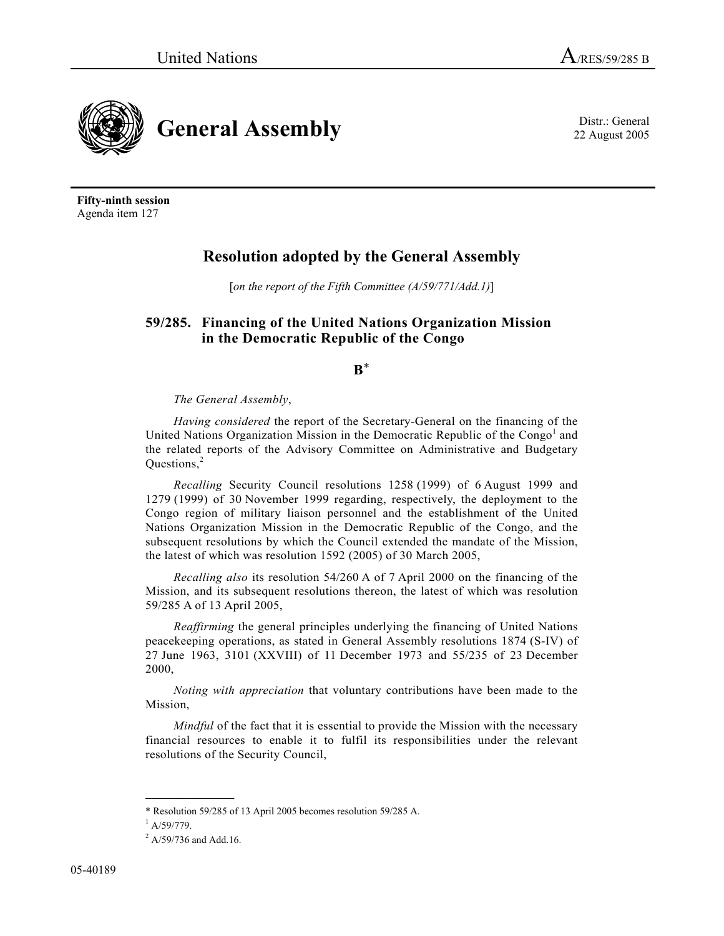

**Fifty-ninth session**  Agenda item 127

# **Resolution adopted by the General Assembly**

[*on the report of the Fifth Committee (A/59/771/Add.1)*]

## **59/285. Financing of the United Nations Organization Mission in the Democratic Republic of the Congo**

**B**\*

## *The General Assembly*,

*Having considered* the report of the Secretary-General on the financing of the United Nations Organization Mission in the Democratic Republic of the Congo<sup>1</sup> and the related reports of the Advisory Committee on Administrative and Budgetary Ouestions,<sup>2</sup>

*Recalling* Security Council resolutions 1258 (1999) of 6 August 1999 and 1279 (1999) of 30 November 1999 regarding, respectively, the deployment to the Congo region of military liaison personnel and the establishment of the United Nations Organization Mission in the Democratic Republic of the Congo, and the subsequent resolutions by which the Council extended the mandate of the Mission, the latest of which was resolution 1592 (2005) of 30 March 2005,

*Recalling also* its resolution 54/260 A of 7 April 2000 on the financing of the Mission, and its subsequent resolutions thereon, the latest of which was resolution 59/285 A of 13 April 2005,

*Reaffirming* the general principles underlying the financing of United Nations peacekeeping operations, as stated in General Assembly resolutions 1874 (S-IV) of 27 June 1963, 3101 (XXVIII) of 11 December 1973 and 55/235 of 23 December 2000,

*Noting with appreciation* that voluntary contributions have been made to the Mission,

*Mindful* of the fact that it is essential to provide the Mission with the necessary financial resources to enable it to fulfil its responsibilities under the relevant resolutions of the Security Council,

22 August 2005

<sup>\*</sup> Resolution 59/285 of 13 April 2005 becomes resolution 59/285 A.

 $^{1}$  A/59/779.

 $^{2}$  A/59/736 and Add.16.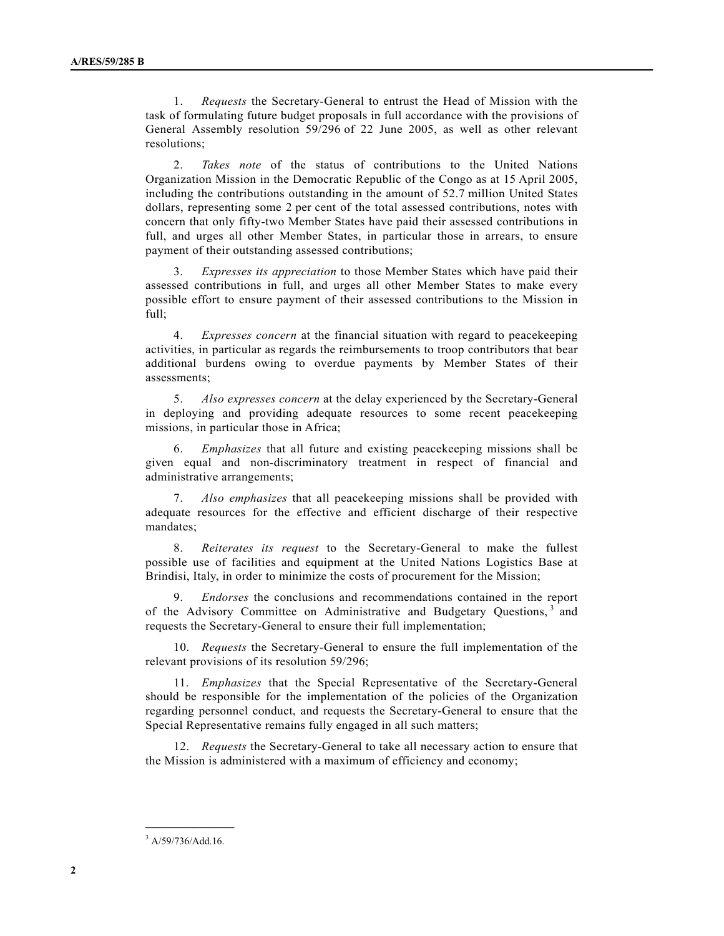1. *Requests* the Secretary-General to entrust the Head of Mission with the task of formulating future budget proposals in full accordance with the provisions of General Assembly resolution 59/296 of 22 June 2005, as well as other relevant resolutions;

 2. *Takes note* of the status of contributions to the United Nations Organization Mission in the Democratic Republic of the Congo as at 15 April 2005, including the contributions outstanding in the amount of 52.7 million United States dollars, representing some 2 per cent of the total assessed contributions, notes with concern that only fifty-two Member States have paid their assessed contributions in full, and urges all other Member States, in particular those in arrears, to ensure payment of their outstanding assessed contributions;

 3. *Expresses its appreciation* to those Member States which have paid their assessed contributions in full, and urges all other Member States to make every possible effort to ensure payment of their assessed contributions to the Mission in full;

 4. *Expresses concern* at the financial situation with regard to peacekeeping activities, in particular as regards the reimbursements to troop contributors that bear additional burdens owing to overdue payments by Member States of their assessments;

 5. *Also expresses concern* at the delay experienced by the Secretary-General in deploying and providing adequate resources to some recent peacekeeping missions, in particular those in Africa;

 6. *Emphasizes* that all future and existing peacekeeping missions shall be given equal and non-discriminatory treatment in respect of financial and administrative arrangements;

 7. *Also emphasizes* that all peacekeeping missions shall be provided with adequate resources for the effective and efficient discharge of their respective mandates;

 8. *Reiterates its request* to the Secretary-General to make the fullest possible use of facilities and equipment at the United Nations Logistics Base at Brindisi, Italy, in order to minimize the costs of procurement for the Mission;

 9. *Endorses* the conclusions and recommendations contained in the report of the Advisory Committee on Administrative and Budgetary Questions, 3 and requests the Secretary-General to ensure their full implementation;

 10. *Requests* the Secretary-General to ensure the full implementation of the relevant provisions of its resolution 59/296;

 11. *Emphasizes* that the Special Representative of the Secretary-General should be responsible for the implementation of the policies of the Organization regarding personnel conduct, and requests the Secretary-General to ensure that the Special Representative remains fully engaged in all such matters;

 12. *Requests* the Secretary-General to take all necessary action to ensure that the Mission is administered with a maximum of efficiency and economy;

**\_\_\_\_\_\_\_\_\_\_\_\_\_\_\_** 

<sup>&</sup>lt;sup>3</sup> A/59/736/Add.16.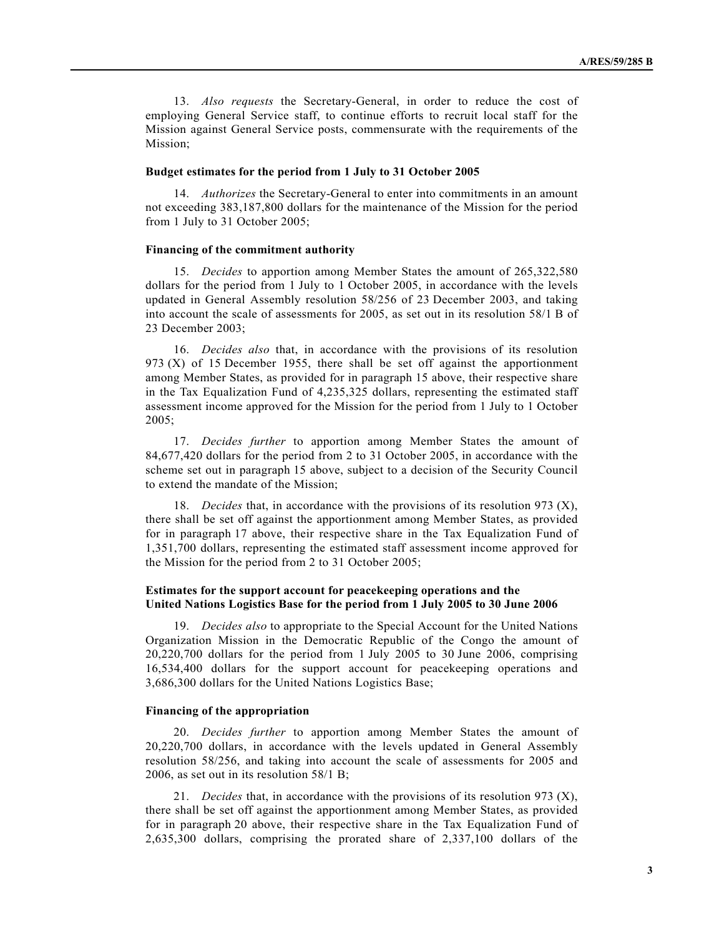13. *Also requests* the Secretary-General, in order to reduce the cost of employing General Service staff, to continue efforts to recruit local staff for the Mission against General Service posts, commensurate with the requirements of the Mission;

#### **Budget estimates for the period from 1 July to 31 October 2005**

 14. *Authorizes* the Secretary-General to enter into commitments in an amount not exceeding 383,187,800 dollars for the maintenance of the Mission for the period from 1 July to 31 October 2005;

#### **Financing of the commitment authority**

 15. *Decides* to apportion among Member States the amount of 265,322,580 dollars for the period from 1 July to 1 October 2005, in accordance with the levels updated in General Assembly resolution 58/256 of 23 December 2003, and taking into account the scale of assessments for 2005, as set out in its resolution 58/1 B of 23 December 2003;

 16. *Decides also* that, in accordance with the provisions of its resolution 973 (X) of 15 December 1955, there shall be set off against the apportionment among Member States, as provided for in paragraph 15 above, their respective share in the Tax Equalization Fund of 4,235,325 dollars, representing the estimated staff assessment income approved for the Mission for the period from 1 July to 1 October 2005;

 17. *Decides further* to apportion among Member States the amount of 84,677,420 dollars for the period from 2 to 31 October 2005, in accordance with the scheme set out in paragraph 15 above, subject to a decision of the Security Council to extend the mandate of the Mission;

 18. *Decides* that, in accordance with the provisions of its resolution 973 (X), there shall be set off against the apportionment among Member States, as provided for in paragraph 17 above, their respective share in the Tax Equalization Fund of 1,351,700 dollars, representing the estimated staff assessment income approved for the Mission for the period from 2 to 31 October 2005;

### **Estimates for the support account for peacekeeping operations and the United Nations Logistics Base for the period from 1 July 2005 to 30 June 2006**

 19. *Decides also* to appropriate to the Special Account for the United Nations Organization Mission in the Democratic Republic of the Congo the amount of 20,220,700 dollars for the period from 1 July 2005 to 30 June 2006, comprising 16,534,400 dollars for the support account for peacekeeping operations and 3,686,300 dollars for the United Nations Logistics Base;

#### **Financing of the appropriation**

 20. *Decides further* to apportion among Member States the amount of 20,220,700 dollars, in accordance with the levels updated in General Assembly resolution 58/256, and taking into account the scale of assessments for 2005 and 2006, as set out in its resolution 58/1 B;

 21. *Decides* that, in accordance with the provisions of its resolution 973 (X), there shall be set off against the apportionment among Member States, as provided for in paragraph 20 above, their respective share in the Tax Equalization Fund of 2,635,300 dollars, comprising the prorated share of 2,337,100 dollars of the